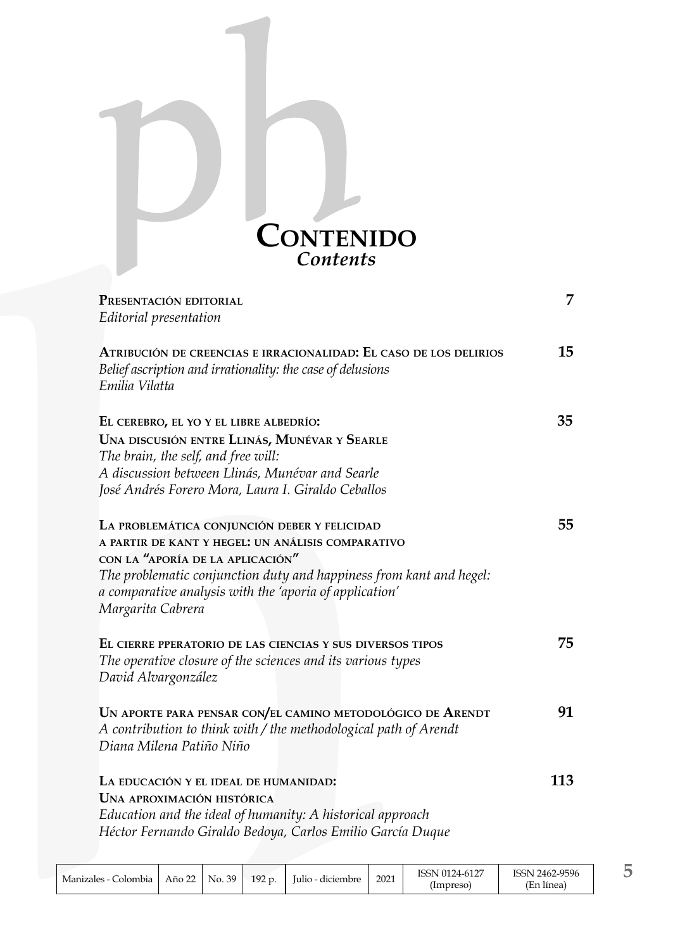

| PRESENTACIÓN EDITORIAL                                                                                                                            | 7   |
|---------------------------------------------------------------------------------------------------------------------------------------------------|-----|
| Editorial presentation                                                                                                                            |     |
| ATRIBUCIÓN DE CREENCIAS E IRRACIONALIDAD: EL CASO DE LOS DELIRIOS<br>Belief ascription and irrationality: the case of delusions<br>Emilia Vilatta | 15  |
| EL CEREBRO, EL YO Y EL LIBRE ALBEDRÍO:                                                                                                            | 35  |
| UNA DISCUSIÓN ENTRE LLINÁS, MUNÉVAR Y SEARLE                                                                                                      |     |
| The brain, the self, and free will:                                                                                                               |     |
| A discussion between Llinás, Munévar and Searle                                                                                                   |     |
| José Andrés Forero Mora, Laura I. Giraldo Ceballos                                                                                                |     |
| LA PROBLEMÁTICA CONJUNCIÓN DEBER Y FELICIDAD                                                                                                      | 55  |
| A PARTIR DE KANT Y HEGEL: UN ANÁLISIS COMPARATIVO                                                                                                 |     |
| CON LA "APORÍA DE LA APLICACIÓN"                                                                                                                  |     |
| The problematic conjunction duty and happiness from kant and hegel:                                                                               |     |
| a comparative analysis with the 'aporia of application'                                                                                           |     |
| Margarita Cabrera                                                                                                                                 |     |
| EL CIERRE PPERATORIO DE LAS CIENCIAS Y SUS DIVERSOS TIPOS                                                                                         | 75  |
| The operative closure of the sciences and its various types                                                                                       |     |
| David Alvargonzález                                                                                                                               |     |
|                                                                                                                                                   |     |
| UN APORTE PARA PENSAR CON/EL CAMINO METODOLÓGICO DE ARENDT                                                                                        | 91  |
| A contribution to think with / the methodological path of Arendt<br>Diana Milena Patiño Niño                                                      |     |
|                                                                                                                                                   |     |
| LA EDUCACIÓN Y EL IDEAL DE HUMANIDAD:                                                                                                             | 113 |
| UNA APROXIMACIÓN HISTÓRICA                                                                                                                        |     |
| Education and the ideal of humanity: A historical approach                                                                                        |     |
| Héctor Fernando Giraldo Bedoya, Carlos Emilio García Duque                                                                                        |     |
|                                                                                                                                                   |     |

| Manizales - C<br>:olombia | Año 22 | 39<br>No. | 192 p. | lulio - diciembre | 2021 | .24-6127<br>(Impreso | 2462-9596<br>15SN<br>linea<br>'En |  |
|---------------------------|--------|-----------|--------|-------------------|------|----------------------|-----------------------------------|--|
|---------------------------|--------|-----------|--------|-------------------|------|----------------------|-----------------------------------|--|

**5**